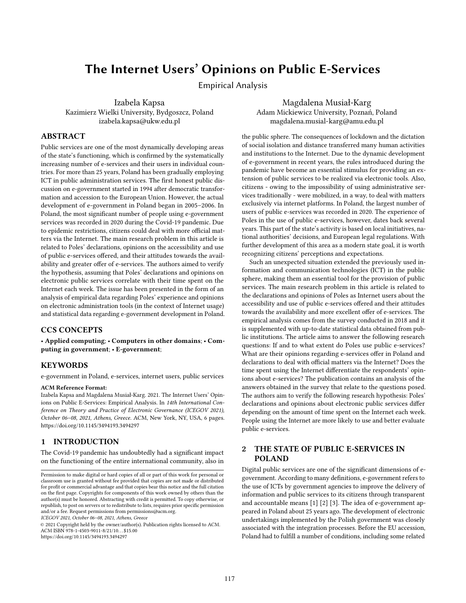# The Internet Users' Opinions on Public E-Services

Empirical Analysis

Izabela Kapsa Kazimierz Wielki University, Bydgoszcz, Poland izabela.kapsa@ukw.edu.pl

Magdalena Musiał-Karg Adam Mickiewicz University, Poznań, Poland magdalena.musial-karg@amu.edu.pl

### ABSTRACT

Public services are one of the most dynamically developing areas of the state's functioning, which is confirmed by the systematically increasing number of e-services and their users in individual countries. For more than 25 years, Poland has been gradually employing ICT in public administration services. The first honest public discussion on e-government started in 1994 after democratic transformation and accession to the European Union. However, the actual development of e-government in Poland began in 2005–2006. In Poland, the most significant number of people using e-government services was recorded in 2020 during the Covid-19 pandemic. Due to epidemic restrictions, citizens could deal with more official matters via the Internet. The main research problem in this article is related to Poles' declarations, opinions on the accessibility and use of public e-services offered, and their attitudes towards the availability and greater offer of e-services. The authors aimed to verify the hypothesis, assuming that Poles' declarations and opinions on electronic public services correlate with their time spent on the Internet each week. The issue has been presented in the form of an analysis of empirical data regarding Poles' experience and opinions on electronic administration tools (in the context of Internet usage) and statistical data regarding e-government development in Poland.

# CCS CONCEPTS

• Applied computing; • Computers in other domains; • Computing in government; • E-government;

#### **KEYWORDS**

e-government in Poland, e-services, internet users, public services

#### ACM Reference Format:

Izabela Kapsa and Magdalena Musiał-Karg. 2021. The Internet Users' Opinions on Public E-Services: Empirical Analysis. In 14th International Conference on Theory and Practice of Electronic Governance (ICEGOV 2021), October 06–08, 2021, Athens, Greece. ACM, New York, NY, USA, [6](#page-5-0) pages. <https://doi.org/10.1145/3494193.3494297>

## 1 INTRODUCTION

The Covid-19 pandemic has undoubtedly had a significant impact on the functioning of the entire international community, also in

ICEGOV 2021, October 06–08, 2021, Athens, Greece

© 2021 Copyright held by the owner/author(s). Publication rights licensed to ACM. ACM ISBN 978-1-4503-9011-8/21/10. . . \$15.00 <https://doi.org/10.1145/3494193.3494297>

the public sphere. The consequences of lockdown and the dictation of social isolation and distance transferred many human activities and institutions to the Internet. Due to the dynamic development of e-government in recent years, the rules introduced during the pandemic have become an essential stimulus for providing an extension of public services to be realized via electronic tools. Also, citizens - owing to the impossibility of using administrative services traditionally - were mobilized, in a way, to deal with matters exclusively via internet platforms. In Poland, the largest number of users of public e-services was recorded in 2020. The experience of Poles in the use of public e-services, however, dates back several years. This part of the state's activity is based on local initiatives, national authorities' decisions, and European legal regulations. With further development of this area as a modern state goal, it is worth recognizing citizens' perceptions and expectations.

Such an unexpected situation extended the previously used information and communication technologies (ICT) in the public sphere, making them an essential tool for the provision of public services. The main research problem in this article is related to the declarations and opinions of Poles as Internet users about the accessibility and use of public e-services offered and their attitudes towards the availability and more excellent offer of e-services. The empirical analysis comes from the survey conducted in 2018 and it is supplemented with up-to-date statistical data obtained from public institutions. The article aims to answer the following research questions: If and to what extent do Poles use public e-services? What are their opinions regarding e-services offer in Poland and declarations to deal with official matters via the Internet? Does the time spent using the Internet differentiate the respondents' opinions about e-services? The publication contains an analysis of the answers obtained in the survey that relate to the questions posed. The authors aim to verify the following research hypothesis: Poles' declarations and opinions about electronic public services differ depending on the amount of time spent on the Internet each week. People using the Internet are more likely to use and better evaluate public e-services.

# 2 THE STATE OF PUBLIC E-SERVICES IN POLAND

Digital public services are one of the significant dimensions of egovernment. According to many definitions, e-government refers to the use of ICTs by government agencies to improve the delivery of information and public services to its citizens through transparent and accountable means [\[1\]](#page-5-1) [\[2\]](#page-5-2) [\[3\]](#page-5-3). The idea of e-government appeared in Poland about 25 years ago. The development of electronic undertakings implemented by the Polish government was closely associated with the integration processes. Before the EU accession, Poland had to fulfill a number of conditions, including some related

Permission to make digital or hard copies of all or part of this work for personal or classroom use is granted without fee provided that copies are not made or distributed for profit or commercial advantage and that copies bear this notice and the full citation on the first page. Copyrights for components of this work owned by others than the author(s) must be honored. Abstracting with credit is permitted. To copy otherwise, or republish, to post on servers or to redistribute to lists, requires prior specific permission and/or a fee. Request permissions from permissions@acm.org.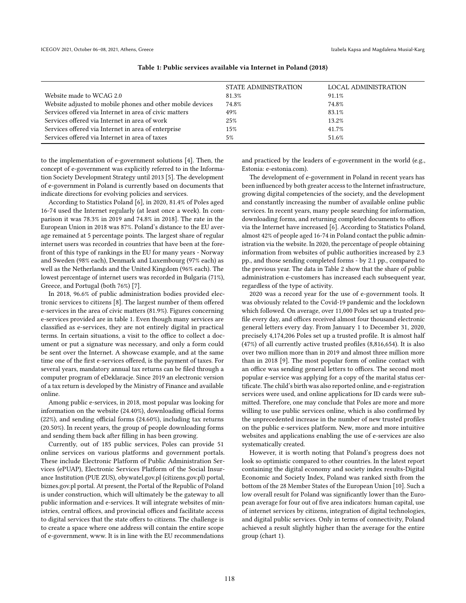<span id="page-1-0"></span>

|                                                            | STATE ADMINISTRATION | LOCAL ADMINISTRATION |
|------------------------------------------------------------|----------------------|----------------------|
| Website made to WCAG 2.0                                   | 81.3%                | 91.1%                |
| Website adjusted to mobile phones and other mobile devices | 74.8%                | 74.8%                |
| Services offered via Internet in area of civic matters     | 49%                  | 83.1%                |
| Services offered via Internet in area of work              | 25%                  | 13.2%                |
| Services offered via Internet in area of enterprise        | 15%                  | 41.7%                |
| Services offered via Internet in area of taxes             | 5%                   | 51.6%                |

#### Table 1: Public services available via Internet in Poland (2018)

to the implementation of e-government solutions [\[4\]](#page-5-4). Then, the concept of e-government was explicitly referred to in the Information Society Development Strategy until 2013 [\[5\]](#page-5-5). The development of e-government in Poland is currently based on documents that indicate directions for evolving policies and services.

According to Statistics Poland [\[6\]](#page-5-6), in 2020, 81.4% of Poles aged 16-74 used the Internet regularly (at least once a week). In comparison it was 78.3% in 2019 and 74.8% in 2018]. The rate in the European Union in 2018 was 87%. Poland's distance to the EU average remained at 5 percentage points. The largest share of regular internet users was recorded in countries that have been at the forefront of this type of rankings in the EU for many years - Norway and Sweden (98% each), Denmark and Luxembourg (97% each) as well as the Netherlands and the United Kingdom (96% each). The lowest percentage of internet users was recorded in Bulgaria (71%), Greece, and Portugal (both 76%) [\[7\]](#page-5-7).

In 2018, 96.6% of public administration bodies provided electronic services to citizens [\[8\]](#page-5-8). The largest number of them offered e-services in the area of civic matters (81.9%). Figures concerning e-services provided are in table [1.](#page-1-0) Even though many services are classified as e-services, they are not entirely digital in practical terms. In certain situations, a visit to the office to collect a document or put a signature was necessary, and only a form could be sent over the Internet. A showcase example, and at the same time one of the first e-services offered, is the payment of taxes. For several years, mandatory annual tax returns can be filed through a computer program of eDeklaracje. Since 2019 an electronic version of a tax return is developed by the Ministry of Finance and available online.

Among public e-services, in 2018, most popular was looking for information on the website (24.40%), downloading official forms (22%), and sending official forms (24.60%), including tax returns (20.50%). In recent years, the group of people downloading forms and sending them back after filling in has been growing.

Currently, out of 185 public services, Poles can provide 51 online services on various platforms and government portals. These include Electronic Platform of Public Administration Services (ePUAP), Electronic Services Platform of the Social Insurance Institution (PUE ZUS), obywatel.gov.pl (citizens.gov.pl) portal, biznes.gov.pl portal. At present, the Portal of the Republic of Poland is under construction, which will ultimately be the gateway to all public information and e-services. It will integrate websites of ministries, central offices, and provincial offices and facilitate access to digital services that the state offers to citizens. The challenge is to create a space where one address will contain the entire scope of e-government, www. It is in line with the EU recommendations

and practiced by the leaders of e-government in the world (e.g., Estonia: e-estonia.com).

The development of e-government in Poland in recent years has been influenced by both greater access to the Internet infrastructure, growing digital competencies of the society, and the development and constantly increasing the number of available online public services. In recent years, many people searching for information, downloading forms, and returning completed documents to offices via the Internet have increased [\[6\]](#page-5-6). According to Statistics Poland, almost 42% of people aged 16-74 in Poland contact the public administration via the website. In 2020, the percentage of people obtaining information from websites of public authorities increased by 2.3 pp., and those sending completed forms - by 2.1 pp., compared to the previous year. The data in Table [2](#page-2-0) show that the share of public administration e-customers has increased each subsequent year, regardless of the type of activity.

2020 was a record year for the use of e-government tools. It was obviously related to the Covid-19 pandemic and the lockdown which followed. On average, over 11,000 Poles set up a trusted profile every day, and offices received almost four thousand electronic general letters every day. From January 1 to December 31, 2020, precisely 4,174,206 Poles set up a trusted profile. It is almost half (47%) of all currently active trusted profiles (8,816,654). It is also over two million more than in 2019 and almost three million more than in 2018 [\[9\]](#page-5-9). The most popular form of online contact with an office was sending general letters to offices. The second most popular e-service was applying for a copy of the marital status certificate. The child's birth was also reported online, and e-registration services were used, and online applications for ID cards were submitted. Therefore, one may conclude that Poles are more and more willing to use public services online, which is also confirmed by the unprecedented increase in the number of new trusted profiles on the public e-services platform. New, more and more intuitive websites and applications enabling the use of e-services are also systematically created.

However, it is worth noting that Poland's progress does not look so optimistic compared to other countries. In the latest report containing the digital economy and society index results-Digital Economic and Society Index, Poland was ranked sixth from the bottom of the 28 Member States of the European Union [\[10\]](#page-5-10). Such a low overall result for Poland was significantly lower than the European average for four out of five area indicators: human capital, use of internet services by citizens, integration of digital technologies, and digital public services. Only in terms of connectivity, Poland achieved a result slightly higher than the average for the entire group (chart 1).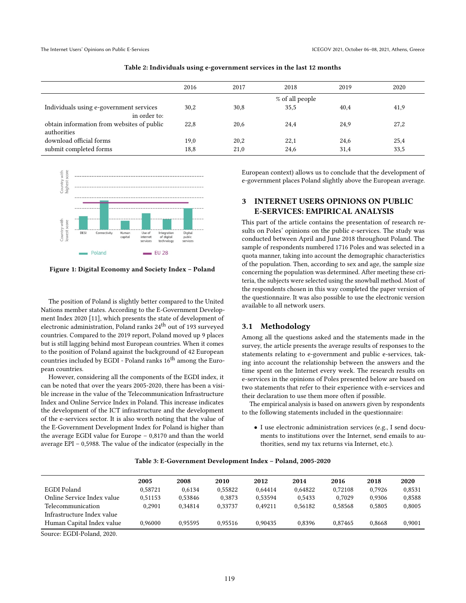<span id="page-2-0"></span>

|                                                           | 2016 | 2017 | 2018            | 2019 | 2020 |
|-----------------------------------------------------------|------|------|-----------------|------|------|
|                                                           |      |      | % of all people |      |      |
| Individuals using e-government services<br>in order to:   | 30,2 | 30,8 | 35,5            | 40,4 | 41,9 |
| obtain information from websites of public<br>authorities | 22,8 | 20,6 | 24,4            | 24,9 | 27,2 |
| download official forms                                   | 19,0 | 20,2 | 22,1            | 24,6 | 25,4 |
| submit completed forms                                    | 18,8 | 21,0 | 24,6            | 31,4 | 33,5 |





Figure 1: Digital Economy and Society Index – Poland

The position of Poland is slightly better compared to the United Nations member states. According to the E-Government Development Index 2020 [\[11\]](#page-5-11), which presents the state of development of electronic administration, Poland ranks 24<sup>th</sup> out of 193 surveyed countries. Compared to the 2019 report, Poland moved up 9 places but is still lagging behind most European countries. When it comes to the position of Poland against the background of 42 European countries included by EGDI - Poland ranks 16<sup>th</sup> among the European countries.

However, considering all the components of the EGDI index, it can be noted that over the years 2005-2020, there has been a visible increase in the value of the Telecommunication Infrastructure Index and Online Service Index in Poland. This increase indicates the development of the ICT infrastructure and the development of the e-services sector. It is also worth noting that the value of the E-Government Development Index for Poland is higher than the average EGDI value for Europe – 0,8170 and than the world average EPI – 0,5988. The value of the indicator (especially in the

European context) allows us to conclude that the development of e-government places Poland slightly above the European average.

### 3 INTERNET USERS OPINIONS ON PUBLIC E-SERVICES: EMPIRICAL ANALYSIS

This part of the article contains the presentation of research results on Poles' opinions on the public e-services. The study was conducted between April and June 2018 throughout Poland. The sample of respondents numbered 1716 Poles and was selected in a quota manner, taking into account the demographic characteristics of the population. Then, according to sex and age, the sample size concerning the population was determined. After meeting these criteria, the subjects were selected using the snowball method. Most of the respondents chosen in this way completed the paper version of the questionnaire. It was also possible to use the electronic version available to all network users.

#### 3.1 Methodology

Among all the questions asked and the statements made in the survey, the article presents the average results of responses to the statements relating to e-government and public e-services, taking into account the relationship between the answers and the time spent on the Internet every week. The research results on e-services in the opinions of Poles presented below are based on two statements that refer to their experience with e-services and their declaration to use them more often if possible.

The empirical analysis is based on answers given by respondents to the following statements included in the questionnaire:

• I use electronic administration services (e.g., I send documents to institutions over the Internet, send emails to authorities, send my tax returns via Internet, etc.).

|                            | 2005    | 2008    | 2010    | 2012    | 2014    | 2016    | 2018   | 2020   |
|----------------------------|---------|---------|---------|---------|---------|---------|--------|--------|
| EGDI Poland                | 0.58721 | 0.6134  | 0.55822 | 0.64414 | 0.64822 | 0.72108 | 0.7926 | 0.8531 |
| Online Service Index value | 0.51153 | 0.53846 | 0.3873  | 0.53594 | 0.5433  | 0.7029  | 0.9306 | 0.8588 |
| Telecommunication          | 0.2901  | 0.34814 | 0.33737 | 0.49211 | 0.56182 | 0.58568 | 0.5805 | 0.8005 |
| Infrastructure Index value |         |         |         |         |         |         |        |        |
| Human Capital Index value  | 0.96000 | 0.95595 | 0.95516 | 0.90435 | 0.8396  | 0.87465 | 0.8668 | 0.9001 |

#### Table 3: E-Government Development Index – Poland, 2005-2020

Source: EGDI-Poland, 2020.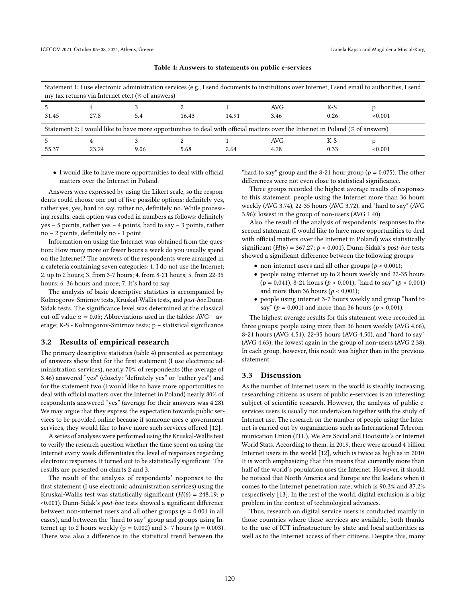<span id="page-3-0"></span>

| Statement 1: I use electronic administration services (e.g., I send documents to institutions over Internet, I send email to authorities, I send<br>my tax returns via Internet etc.) (% of answers) |       |      |       |       |      |      |         |
|------------------------------------------------------------------------------------------------------------------------------------------------------------------------------------------------------|-------|------|-------|-------|------|------|---------|
|                                                                                                                                                                                                      |       |      |       |       | AVG. | K-S  |         |
| 31.45                                                                                                                                                                                                | 27.8  | 5.4  | 16.43 | 14.91 | 3.46 | 0.26 | < 0.001 |
| Statement 2: I would like to have more opportunities to deal with official matters over the Internet in Poland (% of answers)                                                                        |       |      |       |       |      |      |         |
|                                                                                                                                                                                                      |       |      |       |       | AVG  | K-S  |         |
| 55.37                                                                                                                                                                                                | 23.24 | 9.06 | 5.68  | 2.64  | 4.28 | 0.33 | < 0.001 |

Table 4: Answers to statements on public e-services

• I would like to have more opportunities to deal with official matters over the Internet in Poland.

Answers were expressed by using the Likert scale, so the respondents could choose one out of five possible options: definitely yes, rather yes, yes, hard to say, rather no, definitely no. While processing results, each option was coded in numbers as follows: definitely yes – 5 points, rather yes – 4 points, hard to say – 3 points, rather no – 2 points, definitely no - 1 point.

Information on using the Internet was obtained from the question: How many more or fewer hours a week do you usually spend on the Internet? The answers of the respondents were arranged in a cafeteria containing seven categories: 1. I do not use the Internet; 2. up to 2 hours; 3. from 3-7 hours; 4. from 8-21 hours; 5. from 22-35 hours; 6. 36 hours and more; 7. It's hard to say.

The analysis of basic descriptive statistics is accompanied by Kolmogorov-Smirnov tests, Kruskal-Wallis tests, and post-hoc Dunn-Sidak tests. The significance level was determined at the classical cut-off value  $\alpha = 0.05$ ; Abbreviations used in the tables: AVG – average; K-S - Kolmogorov-Smirnov tests; p – statistical significance.

#### 3.2 Results of empirical research

The primary descriptive statistics (table [4\)](#page-3-0) presented as percentage of answers show that for the first statement (I use electronic administration services), nearly 70% of respondents (the average of 3.46) answered "yes" (closely: "definitely yes" or "rather yes") and for the statement two (I would like to have more opportunities to deal with official matters over the Internet in Poland) nearly 80% of respondents answered "yes" (average for their answers was 4.28). We may argue that they express the expectation towards public services to be provided online because if someone uses e-government services, they would like to have more such services offered [\[12\]](#page-5-12).

A series of analyses were performed using the Kruskal-Wallis test to verify the research question whether the time spent on using the Internet every week differentiates the level of responses regarding electronic responses. It turned out to be statistically significant. The results are presented on charts 2 and 3.

The result of the analysis of respondents' responses to the first statement (I use electronic administration services) using the Kruskal-Wallis test was statistically significant ( $H(6) = 248.19$ ; p <0.001). Dunn-Sidak's post-hoc tests showed a significant difference between non-internet users and all other groups ( $p = 0.001$  in all cases), and between the "hard to say" group and groups using Internet up to 2 hours weekly ( $p = 0.002$ ) and 3-7 hours ( $p = 0.003$ ). There was also a difference in the statistical trend between the

"hard to say" group and the 8-21 hour group ( $p = 0.075$ ). The other differences were not even close to statistical significance.

Three groups recorded the highest average results of responses to this statement: people using the Internet more than 36 hours weekly (AVG 3.74), 22-35 hours (AVG 3.72), and "hard to say" (AVG 3.96); lowest in the group of non-users (AVG 1.40).

Also, the result of the analysis of respondents' responses to the second statement (I would like to have more opportunities to deal with official matters over the Internet in Poland) was statistically significant ( $H(6) = 367,27$ ;  $p < 0,001$ ). Dunn-Sidak's post-hoc tests showed a significant difference between the following groups:

- non-internet users and all other groups ( $p < 0.001$ );
- people using internet up to 2 hours weekly and 22-35 hours  $(p = 0.041)$ , 8-21 hours  $(p < 0.001)$ , "hard to say"  $(p < 0.001)$ and more than 36 hours ( $p < 0.001$ );
- people using internet 3-7 hours weekly and group "hard to say" ( $p = 0.001$ ) and more than 36 hours ( $p < 0.001$ ).

The highest average results for this statement were recorded in three groups: people using more than 36 hours weekly (AVG 4.66), 8-21 hours (AVG 4.51), 22-35 hours (AVG 4.50), and "hard to say" (AVG 4.63); the lowest again in the group of non-users (AVG 2.38). In each group, however, this result was higher than in the previous statement.

#### 3.3 Discussion

As the number of Internet users in the world is steadily increasing, researching citizens as users of public e-services is an interesting subject of scientific research. However, the analysis of public eservices users is usually not undertaken together with the study of Internet use. The research on the number of people using the Internet is carried out by organizations such as International Telecommunication Union (ITU), We Are Social and Hootsuite's or Internet World Stats. According to them, in 2019, there were around 4 billion Internet users in the world [\[12\]](#page-5-12), which is twice as high as in 2010. It is worth emphasizing that this means that currently more than half of the world's population uses the Internet. However, it should be noticed that North America and Europe are the leaders when it comes to the Internet penetration rate, which is 90.3% and 87.2% respectively [\[13\]](#page-5-13). In the rest of the world, digital exclusion is a big problem in the context of technological advances.

Thus, research on digital service users is conducted mainly in those countries where these services are available, both thanks to the use of ICT infrastructure by state and local authorities as well as to the Internet access of their citizens. Despite this, many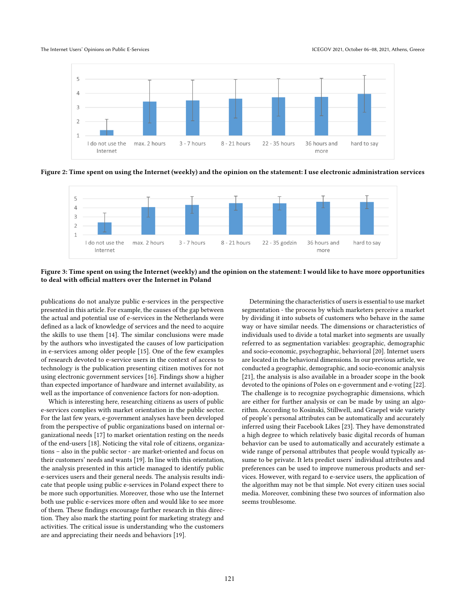The Internet Users' Opinions on Public E-Services **ICEGOV 2021, October 06-08, 2021, Athens, Greece** 



Figure 2: Time spent on using the Internet (weekly) and the opinion on the statement: I use electronic administration services



Figure 3: Time spent on using the Internet (weekly) and the opinion on the statement: I would like to have more opportunities to deal with official matters over the Internet in Poland

publications do not analyze public e-services in the perspective presented in this article. For example, the causes of the gap between the actual and potential use of e-services in the Netherlands were defined as a lack of knowledge of services and the need to acquire the skills to use them [\[14\]](#page-5-14). The similar conclusions were made by the authors who investigated the causes of low participation in e-services among older people [\[15\]](#page-5-15). One of the few examples of research devoted to e-service users in the context of access to technology is the publication presenting citizen motives for not using electronic government services [\[16\]](#page-5-16). Findings show a higher than expected importance of hardware and internet availability, as well as the importance of convenience factors for non-adoption.

Which is interesting here, researching citizens as users of public e-services complies with market orientation in the public sector. For the last few years, e-government analyses have been developed from the perspective of public organizations based on internal organizational needs [\[17\]](#page-5-17) to market orientation resting on the needs of the end-users [\[18\]](#page-5-18). Noticing the vital role of citizens, organizations – also in the public sector - are market-oriented and focus on their customers' needs and wants [\[19\]](#page-5-19). In line with this orientation, the analysis presented in this article managed to identify public e-services users and their general needs. The analysis results indicate that people using public e-services in Poland expect there to be more such opportunities. Moreover, those who use the Internet both use public e-services more often and would like to see more of them. These findings encourage further research in this direction. They also mark the starting point for marketing strategy and activities. The critical issue is understanding who the customers are and appreciating their needs and behaviors [\[19\]](#page-5-19).

Determining the characteristics of users is essential to use market segmentation - the process by which marketers perceive a market by dividing it into subsets of customers who behave in the same way or have similar needs. The dimensions or characteristics of individuals used to divide a total market into segments are usually referred to as segmentation variables: geographic, demographic and socio-economic, psychographic, behavioral [\[20\]](#page-5-20). Internet users are located in the behavioral dimensions. In our previous article, we conducted a geographic, demographic, and socio-economic analysis [\[21\]](#page-5-21), the analysis is also available in a broader scope in the book devoted to the opinions of Poles on e-government and e-voting [\[22\]](#page-5-22). The challenge is to recognize psychographic dimensions, which are either for further analysis or can be made by using an algorithm. According to Kosinski, Stillwell, and Graepel wide variety of people's personal attributes can be automatically and accurately inferred using their Facebook Likes [\[23\]](#page-5-23). They have demonstrated a high degree to which relatively basic digital records of human behavior can be used to automatically and accurately estimate a wide range of personal attributes that people would typically assume to be private. It lets predict users' individual attributes and preferences can be used to improve numerous products and services. However, with regard to e-service users, the application of the algorithm may not be that simple. Not every citizen uses social media. Moreover, combining these two sources of information also seems troublesome.